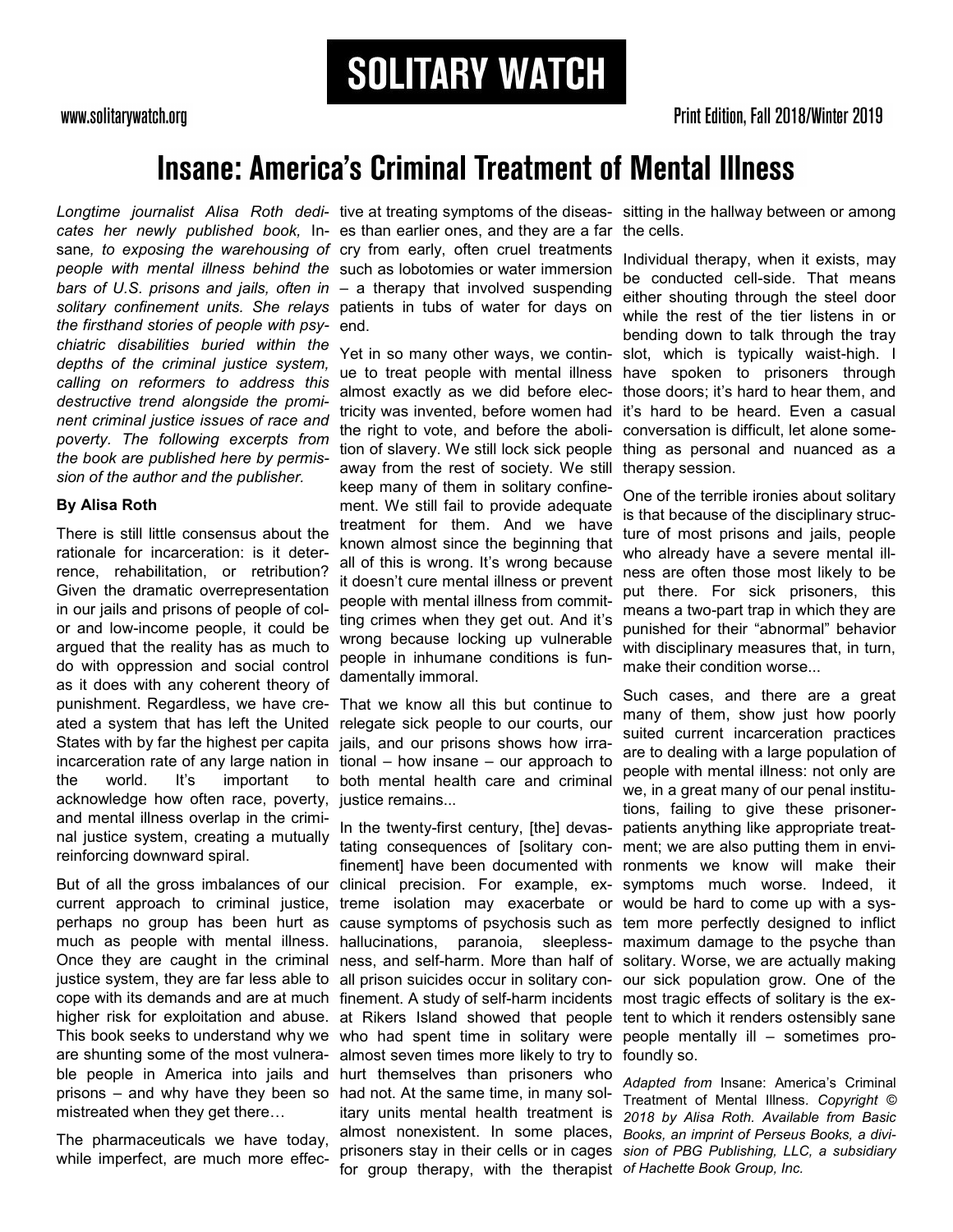**SOLITARY WATCH** 

www.solitarywatch.org

## **Insane: America's Criminal Treatment of Mental Illness**

*the firsthand stories of people with psy-*end. *chiatric disabilities buried within the depths of the criminal justice system, calling on reformers to address this destructive trend alongside the prominent criminal justice issues of race and poverty. The following excerpts from the book are published here by permission of the author and the publisher.*

### **By Alisa Roth**

There is still little consensus about the rationale for incarceration: is it deterrence, rehabilitation, or retribution? Given the dramatic overrepresentation in our jails and prisons of people of color and low-income people, it could be argued that the reality has as much to do with oppression and social control as it does with any coherent theory of punishment. Regardless, we have created a system that has left the United States with by far the highest per capita incarceration rate of any large nation in the world. It's important to acknowledge how often race, poverty, and mental illness overlap in the criminal justice system, creating a mutually reinforcing downward spiral.

But of all the gross imbalances of our current approach to criminal justice, perhaps no group has been hurt as much as people with mental illness. Once they are caught in the criminal justice system, they are far less able to cope with its demands and are at much higher risk for exploitation and abuse. This book seeks to understand why we are shunting some of the most vulnerable people in America into jails and prisons – and why have they been so mistreated when they get there…

The pharmaceuticals we have today, while imperfect, are much more effec-

Longtime journalist Alisa Roth dedi- tive at treating symptoms of the diseas- sitting in the hallway between or among cates her newly published book, In- es than earlier ones, and they are a far the cells. sane*, to exposing the warehousing of*  cry from early, often cruel treatments *people with mental illness behind the*  such as lobotomies or water immersion *bars of U.S. prisons and jails, often in*  – a therapy that involved suspending solitary confinement units. She relays patients in tubs of water for days on

> Yet in so many other ways, we continue to treat people with mental illness almost exactly as we did before electricity was invented, before women had the right to vote, and before the abolition of slavery. We still lock sick people away from the rest of society. We still keep many of them in solitary confinement. We still fail to provide adequate treatment for them. And we have known almost since the beginning that all of this is wrong. It's wrong because it doesn't cure mental illness or prevent people with mental illness from committing crimes when they get out. And it's wrong because locking up vulnerable people in inhumane conditions is fundamentally immoral.

> That we know all this but continue to relegate sick people to our courts, our jails, and our prisons shows how irrational – how insane – our approach to both mental health care and criminal justice remains...

In the twenty-first century, [the] devastating consequences of [solitary confinement] have been documented with clinical precision. For example, ex-symptoms much worse. Indeed, it treme isolation may exacerbate or would be hard to come up with a syscause symptoms of psychosis such as tem more perfectly designed to inflict hallucinations, paranoia, ness, and self-harm. More than half of solitary. Worse, we are actually making all prison suicides occur in solitary con-our sick population grow. One of the finement. A study of self-harm incidents most tragic effects of solitary is the exat Rikers Island showed that people tent to which it renders ostensibly sane who had spent time in solitary were people mentally ill – sometimes proalmost seven times more likely to try to foundly so. hurt themselves than prisoners who had not. At the same time, in many solitary units mental health treatment is almost nonexistent. In some places, prisoners stay in their cells or in cages *sion of PBG Publishing, LLC, a subsidiary*  for group therapy, with the therapist *of Hachette Book Group, Inc.*

Individual therapy, when it exists, may be conducted cell-side. That means either shouting through the steel door while the rest of the tier listens in or bending down to talk through the tray slot, which is typically waist-high. I have spoken to prisoners through those doors; it's hard to hear them, and it's hard to be heard. Even a casual conversation is difficult, let alone something as personal and nuanced as a therapy session.

One of the terrible ironies about solitary is that because of the disciplinary structure of most prisons and jails, people who already have a severe mental illness are often those most likely to be put there. For sick prisoners, this means a two-part trap in which they are punished for their "abnormal" behavior with disciplinary measures that, in turn, make their condition worse...

Such cases, and there are a great many of them, show just how poorly suited current incarceration practices are to dealing with a large population of people with mental illness: not only are we, in a great many of our penal institutions, failing to give these prisonerpatients anything like appropriate treatment; we are also putting them in environments we know will make their sleepless- maximum damage to the psyche than

> *Adapted from* Insane: America's Criminal Treatment of Mental Illness*. Copyright © 2018 by Alisa Roth. Available from Basic Books, an imprint of Perseus Books, a divi-*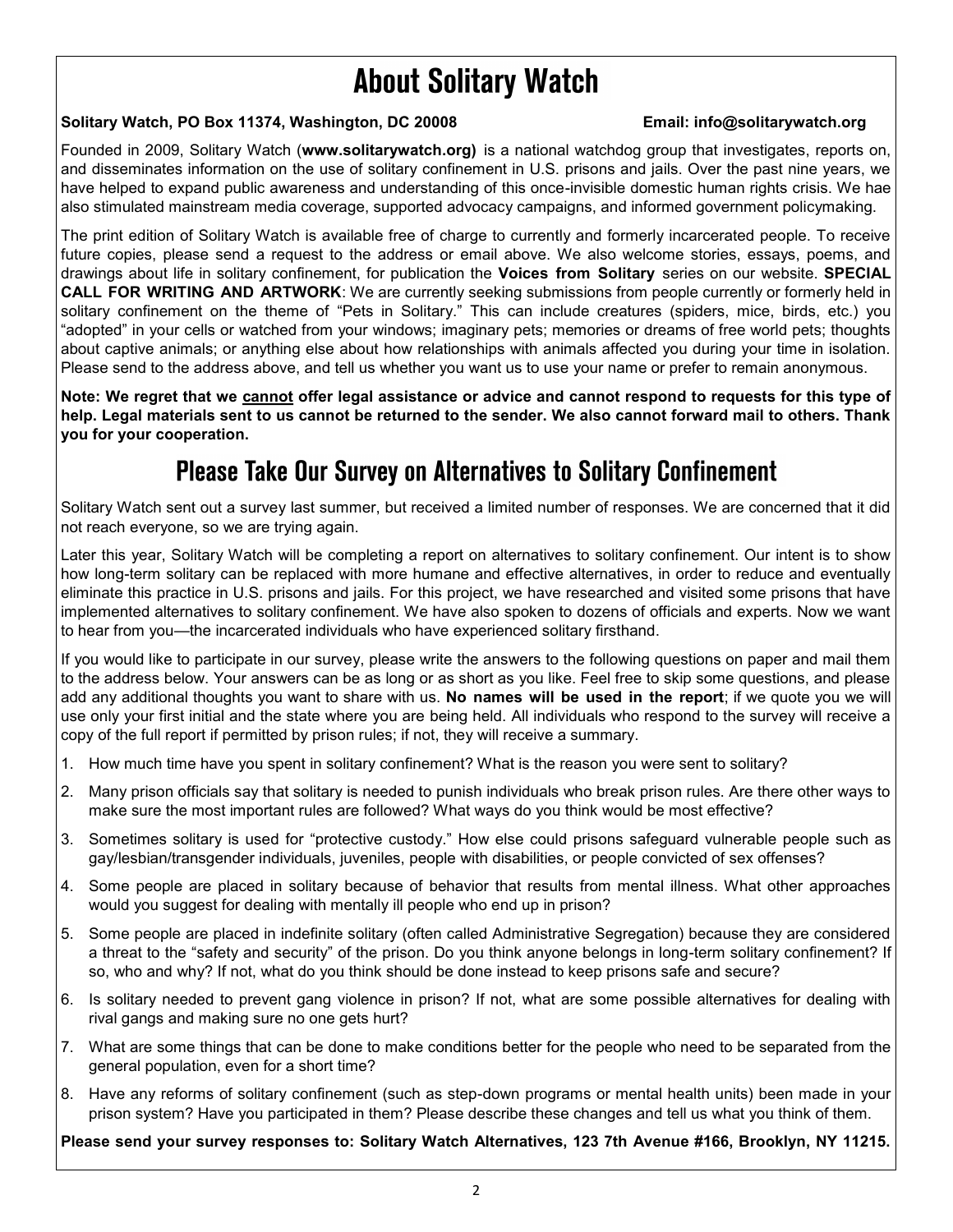# **About Solitary Watch**

## **Solitary Watch, PO Box 11374, Washington, DC 20008 Email: info@solitarywatch.org**

Founded in 2009, Solitary Watch (**www.solitarywatch.org)** is a national watchdog group that investigates, reports on, and disseminates information on the use of solitary confinement in U.S. prisons and jails. Over the past nine years, we have helped to expand public awareness and understanding of this once-invisible domestic human rights crisis. We hae also stimulated mainstream media coverage, supported advocacy campaigns, and informed government policymaking.

The print edition of Solitary Watch is available free of charge to currently and formerly incarcerated people. To receive future copies, please send a request to the address or email above. We also welcome stories, essays, poems, and drawings about life in solitary confinement, for publication the **Voices from Solitary** series on our website. **SPECIAL CALL FOR WRITING AND ARTWORK**: We are currently seeking submissions from people currently or formerly held in solitary confinement on the theme of "Pets in Solitary." This can include creatures (spiders, mice, birds, etc.) you "adopted" in your cells or watched from your windows; imaginary pets; memories or dreams of free world pets; thoughts about captive animals; or anything else about how relationships with animals affected you during your time in isolation. Please send to the address above, and tell us whether you want us to use your name or prefer to remain anonymous.

**Note: We regret that we cannot offer legal assistance or advice and cannot respond to requests for this type of help. Legal materials sent to us cannot be returned to the sender. We also cannot forward mail to others. Thank you for your cooperation.**

## **Please Take Our Survey on Alternatives to Solitary Confinement**

Solitary Watch sent out a survey last summer, but received a limited number of responses. We are concerned that it did not reach everyone, so we are trying again.

Later this year, Solitary Watch will be completing a report on alternatives to solitary confinement. Our intent is to show how long-term solitary can be replaced with more humane and effective alternatives, in order to reduce and eventually eliminate this practice in U.S. prisons and jails. For this project, we have researched and visited some prisons that have implemented alternatives to solitary confinement. We have also spoken to dozens of officials and experts. Now we want to hear from you—the incarcerated individuals who have experienced solitary firsthand.

If you would like to participate in our survey, please write the answers to the following questions on paper and mail them to the address below. Your answers can be as long or as short as you like. Feel free to skip some questions, and please add any additional thoughts you want to share with us. **No names will be used in the report**; if we quote you we will use only your first initial and the state where you are being held. All individuals who respond to the survey will receive a copy of the full report if permitted by prison rules; if not, they will receive a summary.

- 1. How much time have you spent in solitary confinement? What is the reason you were sent to solitary?
- 2. Many prison officials say that solitary is needed to punish individuals who break prison rules. Are there other ways to make sure the most important rules are followed? What ways do you think would be most effective?
- 3. Sometimes solitary is used for "protective custody." How else could prisons safeguard vulnerable people such as gay/lesbian/transgender individuals, juveniles, people with disabilities, or people convicted of sex offenses?
- 4. Some people are placed in solitary because of behavior that results from mental illness. What other approaches would you suggest for dealing with mentally ill people who end up in prison?
- 5. Some people are placed in indefinite solitary (often called Administrative Segregation) because they are considered a threat to the "safety and security" of the prison. Do you think anyone belongs in long-term solitary confinement? If so, who and why? If not, what do you think should be done instead to keep prisons safe and secure?
- 6. Is solitary needed to prevent gang violence in prison? If not, what are some possible alternatives for dealing with rival gangs and making sure no one gets hurt?
- 7. What are some things that can be done to make conditions better for the people who need to be separated from the general population, even for a short time?
- 8. Have any reforms of solitary confinement (such as step-down programs or mental health units) been made in your prison system? Have you participated in them? Please describe these changes and tell us what you think of them.

**Please send your survey responses to: Solitary Watch Alternatives, 123 7th Avenue #166, Brooklyn, NY 11215.**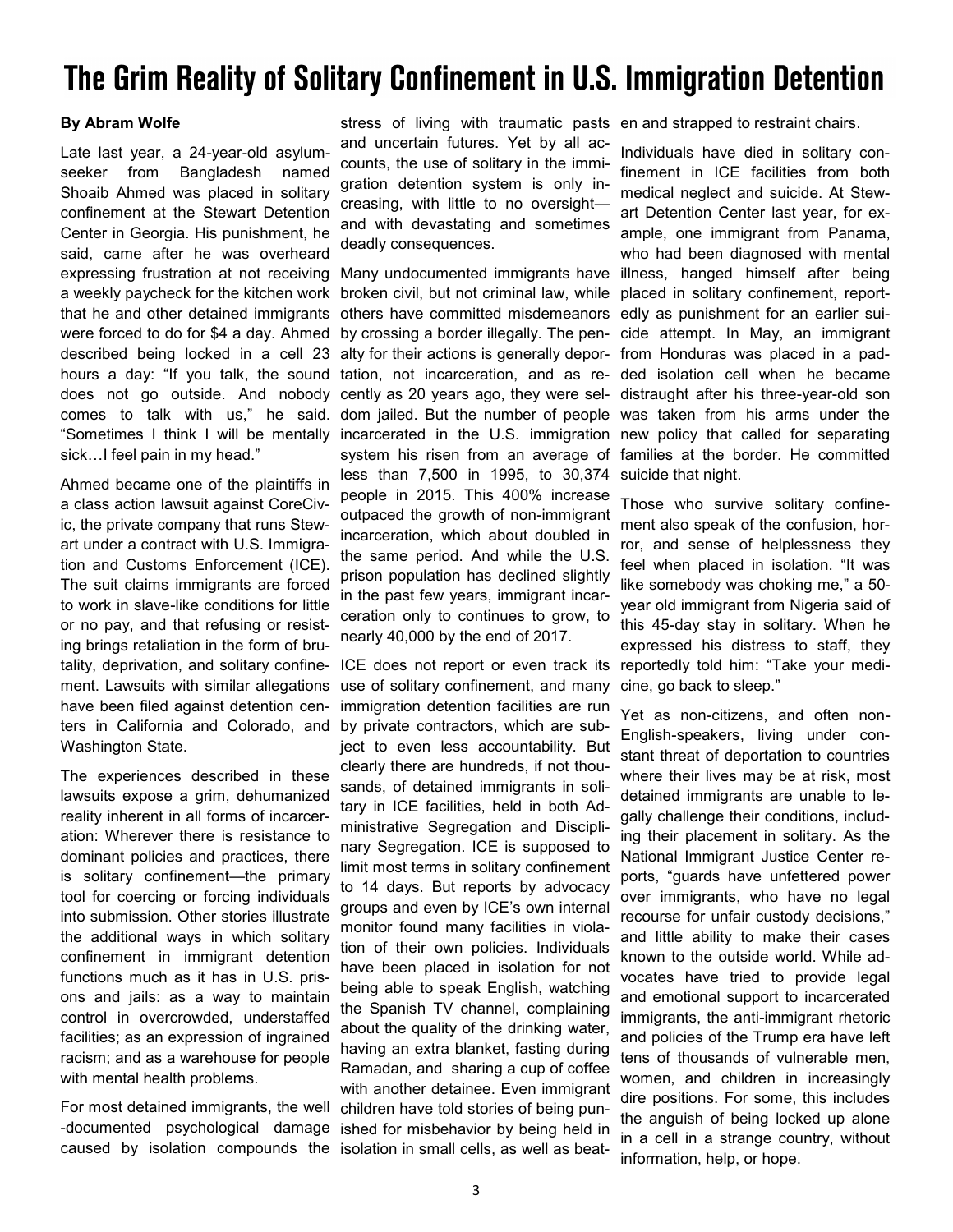# The Grim Reality of Solitary Confinement in U.S. Immigration Detention

### **By Abram Wolfe**

Late last year, a 24-year-old asylumseeker from Bangladesh named Shoaib Ahmed was placed in solitary confinement at the Stewart Detention Center in Georgia. His punishment, he said, came after he was overheard expressing frustration at not receiving a weekly paycheck for the kitchen work that he and other detained immigrants were forced to do for \$4 a day. Ahmed described being locked in a cell 23 hours a day: "If you talk, the sound does not go outside. And nobody comes to talk with us," he said. "Sometimes I think I will be mentally sick…I feel pain in my head."

Ahmed became one of the plaintiffs in a class action lawsuit against CoreCivic, the private company that runs Stewart under a contract with U.S. Immigration and Customs Enforcement (ICE). The suit claims immigrants are forced to work in slave-like conditions for little or no pay, and that refusing or resisting brings retaliation in the form of brutality, deprivation, and solitary confinement. Lawsuits with similar allegations have been filed against detention centers in California and Colorado, and Washington State.

The experiences described in these lawsuits expose a grim, dehumanized reality inherent in all forms of incarceration: Wherever there is resistance to dominant policies and practices, there is solitary confinement—the primary tool for coercing or forcing individuals into submission. Other stories illustrate the additional ways in which solitary confinement in immigrant detention functions much as it has in U.S. prisons and jails: as a way to maintain control in overcrowded, understaffed facilities; as an expression of ingrained racism; and as a warehouse for people with mental health problems.

For most detained immigrants, the well -documented psychological damage caused by isolation compounds the

stress of living with traumatic pasts en and strapped to restraint chairs. and uncertain futures. Yet by all accounts, the use of solitary in the immigration detention system is only increasing, with little to no oversight and with devastating and sometimes deadly consequences.

Many undocumented immigrants have broken civil, but not criminal law, while others have committed misdemeanors by crossing a border illegally. The penalty for their actions is generally deportation, not incarceration, and as recently as 20 years ago, they were seldom jailed. But the number of people incarcerated in the U.S. immigration system his risen from an average of less than 7,500 in 1995, to 30,374 people in 2015. This 400% increase outpaced the growth of non-immigrant incarceration, which about doubled in the same period. And while the U.S. prison population has declined slightly in the past few years, immigrant incarceration only to continues to grow, to nearly 40,000 by the end of 2017.

ICE does not report or even track its use of solitary confinement, and many immigration detention facilities are run by private contractors, which are subject to even less accountability. But clearly there are hundreds, if not thousands, of detained immigrants in solitary in ICE facilities, held in both Administrative Segregation and Disciplinary Segregation. ICE is supposed to limit most terms in solitary confinement to 14 days. But reports by advocacy groups and even by ICE's own internal monitor found many facilities in violation of their own policies. Individuals have been placed in isolation for not being able to speak English, watching the Spanish TV channel, complaining about the quality of the drinking water, having an extra blanket, fasting during Ramadan, and sharing a cup of coffee with another detainee. Even immigrant children have told stories of being punished for misbehavior by being held in isolation in small cells, as well as beat-

Individuals have died in solitary confinement in ICE facilities from both medical neglect and suicide. At Stewart Detention Center last year, for example, one immigrant from Panama, who had been diagnosed with mental illness, hanged himself after being placed in solitary confinement, reportedly as punishment for an earlier suicide attempt. In May, an immigrant from Honduras was placed in a padded isolation cell when he became distraught after his three-year-old son was taken from his arms under the new policy that called for separating families at the border. He committed suicide that night.

Those who survive solitary confinement also speak of the confusion, horror, and sense of helplessness they feel when placed in isolation. "It was like somebody was choking me," a 50 year old immigrant from Nigeria said of this 45-day stay in solitary. When he expressed his distress to staff, they reportedly told him: "Take your medicine, go back to sleep."

Yet as non-citizens, and often non-English-speakers, living under constant threat of deportation to countries where their lives may be at risk, most detained immigrants are unable to legally challenge their conditions, including their placement in solitary. As the National Immigrant Justice Center reports, "guards have unfettered power over immigrants, who have no legal recourse for unfair custody decisions," and little ability to make their cases known to the outside world. While advocates have tried to provide legal and emotional support to incarcerated immigrants, the anti-immigrant rhetoric and policies of the Trump era have left tens of thousands of vulnerable men, women, and children in increasingly dire positions. For some, this includes the anguish of being locked up alone in a cell in a strange country, without information, help, or hope.